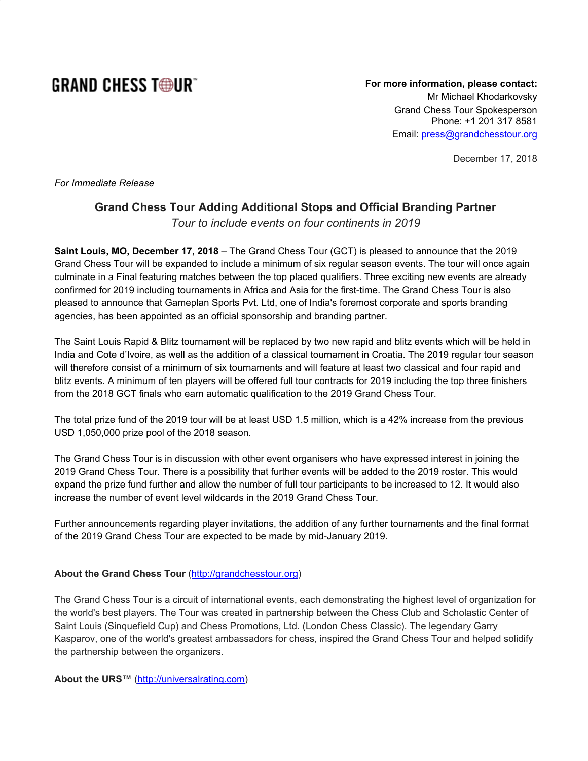## **GRAND CHESS TODUR**

**For more information, please contact:** Mr Michael Khodarkovsky Grand Chess Tour Spokesperson Phone: +1 201 317 8581 Email: [press@grandchesstour.org](mailto:press@grandchesstour.org)

December 17, 2018

*For Immediate Release*

## **Grand Chess Tour Adding Additional Stops and Official Branding Partner** *Tour to include events on four continents in 2019*

**Saint Louis, MO, December 17, 2018** – The Grand Chess Tour (GCT) is pleased to announce that the 2019 Grand Chess Tour will be expanded to include a minimum of six regular season events. The tour will once again culminate in a Final featuring matches between the top placed qualifiers. Three exciting new events are already confirmed for 2019 including tournaments in Africa and Asia for the first-time. The Grand Chess Tour is also pleased to announce that Gameplan Sports Pvt. Ltd, one of India's foremost corporate and sports branding agencies, has been appointed as an official sponsorship and branding partner.

The Saint Louis Rapid & Blitz tournament will be replaced by two new rapid and blitz events which will be held in India and Cote d'Ivoire, as well as the addition of a classical tournament in Croatia. The 2019 regular tour season will therefore consist of a minimum of six tournaments and will feature at least two classical and four rapid and blitz events. A minimum of ten players will be offered full tour contracts for 2019 including the top three finishers from the 2018 GCT finals who earn automatic qualification to the 2019 Grand Chess Tour.

The total prize fund of the 2019 tour will be at least USD 1.5 million, which is a 42% increase from the previous USD 1,050,000 prize pool of the 2018 season.

The Grand Chess Tour is in discussion with other event organisers who have expressed interest in joining the 2019 Grand Chess Tour. There is a possibility that further events will be added to the 2019 roster. This would expand the prize fund further and allow the number of full tour participants to be increased to 12. It would also increase the number of event level wildcards in the 2019 Grand Chess Tour.

Further announcements regarding player invitations, the addition of any further tournaments and the final format of the 2019 Grand Chess Tour are expected to be made by mid-January 2019.

## **About the Grand Chess Tour** ([http://grandchesstour.org](http://grandchesstour.org/))

The Grand Chess Tour is a circuit of international events, each demonstrating the highest level of organization for the world's best players. The Tour was created in partnership between the Chess Club and Scholastic Center of Saint Louis (Sinquefield Cup) and Chess Promotions, Ltd. (London Chess Classic). The legendary Garry Kasparov, one of the world's greatest ambassadors for chess, inspired the Grand Chess Tour and helped solidify the partnership between the organizers.

**About the URS™** [\(http://universalrating.com\)](http://universalrating.com/)